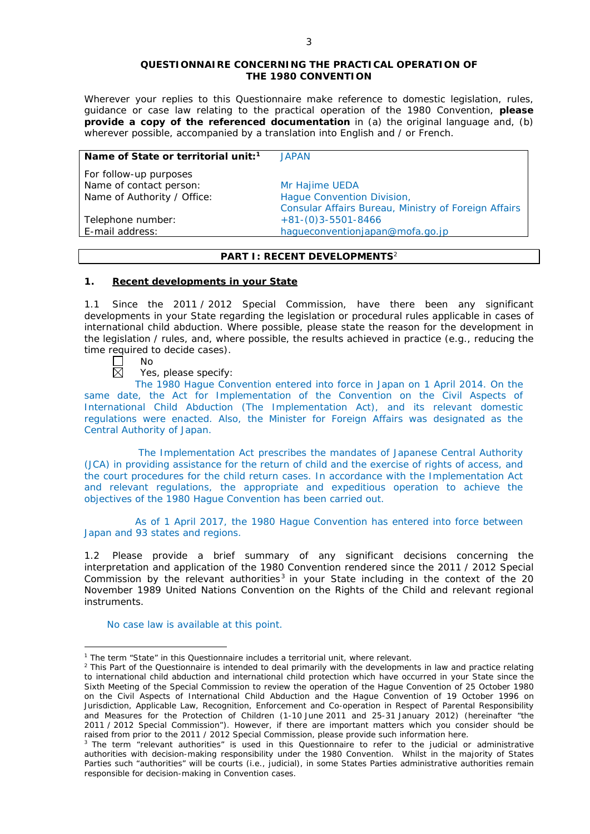### **QUESTIONNAIRE CONCERNING THE PRACTICAL OPERATION OF THE 1980 CONVENTION**

*Wherever your replies to this Questionnaire make reference to domestic legislation, rules, guidance or case law relating to the practical operation of the 1980 Convention, please provide a copy of the referenced documentation in (a) the original language and, (b) wherever possible, accompanied by a translation into English and / or French.* 

| Name of State or territorial unit: <sup>1</sup> | JAPAN                                                |
|-------------------------------------------------|------------------------------------------------------|
| For follow-up purposes                          |                                                      |
| Name of contact person:                         | Mr Hajime UEDA                                       |
| Name of Authority / Office:                     | Hague Convention Division,                           |
|                                                 | Consular Affairs Bureau, Ministry of Foreign Affairs |
| Telephone number:                               | $+81-(0)3-5501-8466$                                 |
| E-mail address:                                 | haqueconventionjapan@mofa.go.jp                      |

# **PART I: RECENT DEVELOPMENTS**<sup>2</sup>

## **1. Recent developments in your State**

1.1 Since the 2011 / 2012 Special Commission, have there been any significant developments in your State regarding the legislation or procedural rules applicable in cases of international child abduction. Where possible, please state the reason for the development in the legislation / rules, and, where possible, the results achieved in practice (*e.g.*, reducing the time required to decide cases).

П No 岗

<u>.</u>

Yes, please specify:

The 1980 Hague Convention entered into force in Japan on 1 April 2014. On the same date, the Act for Implementation of the Convention on the Civil Aspects of International Child Abduction (The Implementation Act), and its relevant domestic regulations were enacted. Also, the Minister for Foreign Affairs was designated as the Central Authority of Japan.

The Implementation Act prescribes the mandates of Japanese Central Authority (JCA) in providing assistance for the return of child and the exercise of rights of access, and the court procedures for the child return cases. In accordance with the Implementation Act and relevant regulations, the appropriate and expeditious operation to achieve the objectives of the 1980 Hague Convention has been carried out.

As of 1 April 2017, the 1980 Hague Convention has entered into force between Japan and 93 states and regions.

1.2 Please provide a brief summary of any significant decisions concerning the interpretation and application of the 1980 Convention rendered since the 2011 / 2012 Special Commission by the relevant authorities<sup>3</sup> in your State including in the context of the 20 November 1989 United Nations Convention on the Rights of the Child and relevant regional instruments.

No case law is available at this point.

<sup>&</sup>lt;sup>1</sup> The term "State" in this Questionnaire includes a territorial unit, where relevant.

 $<sup>2</sup>$  This Part of the Questionnaire is intended to deal primarily with the developments in law and practice relating</sup> to international child abduction and international child protection which have occurred in your State since the Sixth Meeting of the Special Commission to review the operation of the *Hague Convention of 25 October 1980 on the Civil Aspects of International Child Abduction* and the *Hague Convention of 19 October 1996 on Jurisdiction, Applicable Law, Recognition, Enforcement and Co-operation in Respect of Parental Responsibility and Measures for the Protection of Children* (1-10 June 2011 and 25-31 January 2012) (hereinafter "the 2011 / 2012 Special Commission"). However, if there are important matters which you consider should be raised from *prior to* the 2011 / 2012 Special Commission, please provide such information here.

<sup>&</sup>lt;sup>3</sup> The term "relevant authorities" is used in this Questionnaire to refer to the judicial or administrative authorities with decision-making responsibility under the 1980 Convention. Whilst in the majority of States Parties such "authorities" will be courts (*i.e.*, judicial), in some States Parties administrative authorities remain responsible for decision-making in Convention cases.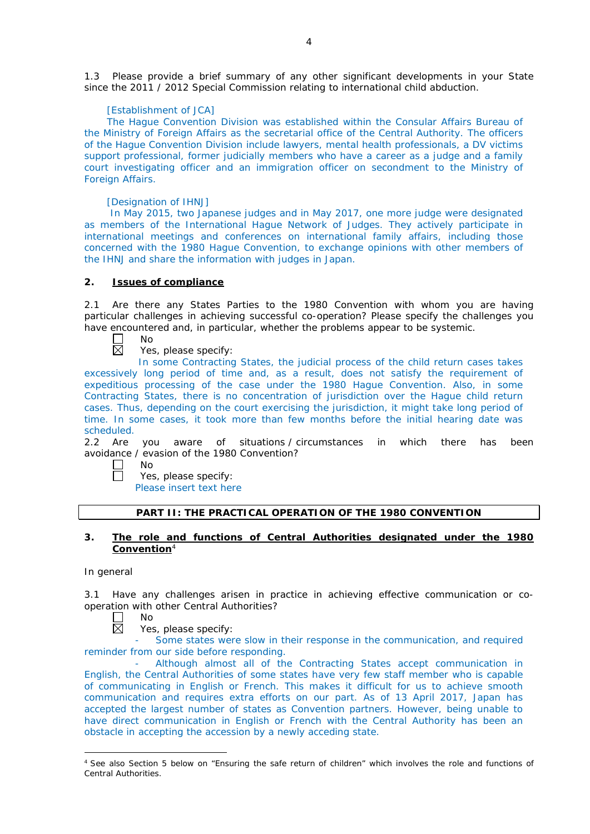1.3 Please provide a brief summary of any other significant developments in your State since the 2011 / 2012 Special Commission relating to international child abduction.

### [Establishment of JCA]

The Hague Convention Division was established within the Consular Affairs Bureau of the Ministry of Foreign Affairs as the secretarial office of the Central Authority. The officers of the Hague Convention Division include lawyers, mental health professionals, a DV victims support professional, former judicially members who have a career as a judge and a family court investigating officer and an immigration officer on secondment to the Ministry of Foreign Affairs.

### [Designation of IHNJ]

In May 2015, two Japanese judges and in May 2017, one more judge were designated as members of the International Hague Network of Judges. They actively participate in international meetings and conferences on international family affairs, including those concerned with the 1980 Hague Convention, to exchange opinions with other members of the IHNJ and share the information with judges in Japan.

## **2. Issues of compliance**

2.1 Are there any States Parties to the 1980 Convention with whom you are having particular challenges in achieving successful co-operation? Please specify the challenges you have encountered and, in particular, whether the problems appear to be systemic.

No  $\mathsf{L}$ 岗

Yes, please specify:

In some Contracting States, the judicial process of the child return cases takes excessively long period of time and, as a result, does not satisfy the requirement of expeditious processing of the case under the 1980 Hague Convention. Also, in some Contracting States, there is no concentration of jurisdiction over the Hague child return cases. Thus, depending on the court exercising the jurisdiction, it might take long period of time. In some cases, it took more than few months before the initial hearing date was scheduled.

2.2 Are you aware of situations / circumstances in which there has been avoidance / evasion of the 1980 Convention?

No

Yes, please specify: Please insert text here

### **PART II: THE PRACTICAL OPERATION OF THE 1980 CONVENTION**

## **3. The role and functions of Central Authorities designated under the 1980 Convention**<sup>4</sup>

#### *In general*

-

3.1 Have any challenges arisen in practice in achieving effective communication or cooperation with other Central Authorities?

 $\overline{\boxtimes}$ No

Yes, please specify:

Some states were slow in their response in the communication, and required reminder from our side before responding.

- Although almost all of the Contracting States accept communication in English, the Central Authorities of some states have very few staff member who is capable of communicating in English or French. This makes it difficult for us to achieve smooth communication and requires extra efforts on our part. As of 13 April 2017, Japan has accepted the largest number of states as Convention partners. However, being unable to have direct communication in English or French with the Central Authority has been an obstacle in accepting the accession by a newly acceding state.

<sup>4</sup> See also Section 5 below on "Ensuring the safe return of children" which involves the role and functions of Central Authorities.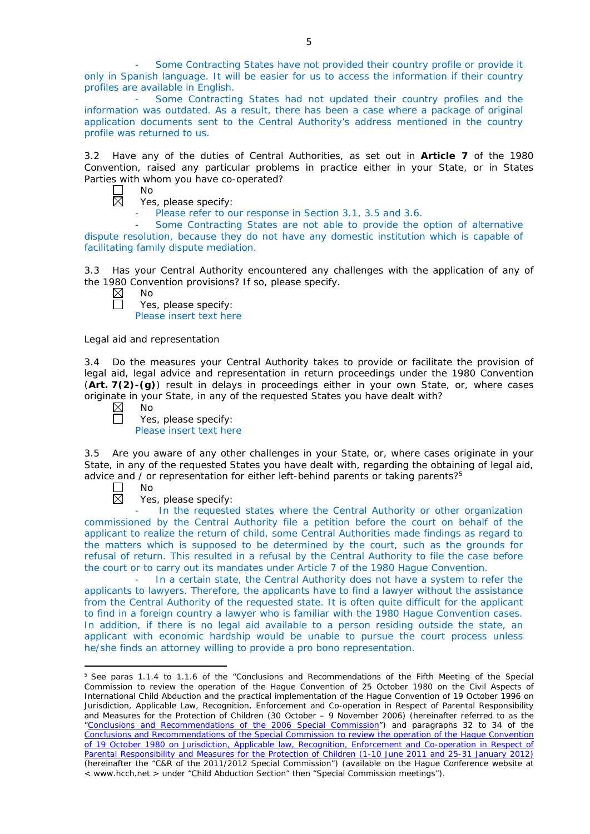Some Contracting States have not provided their country profile or provide it only in Spanish language. It will be easier for us to access the information if their country profiles are available in English.

- Some Contracting States had not updated their country profiles and the information was outdated. As a result, there has been a case where a package of original application documents sent to the Central Authority's address mentioned in the country profile was returned to us.

3.2 Have any of the duties of Central Authorities, as set out in **Article 7** of the 1980 Convention, raised any particular problems in practice either in your State, or in States Parties with whom you have co-operated?

| NΩ |
|----|
| Ξ  |

Yes, please specify:

Please refer to our response in Section 3.1, 3.5 and 3.6.

Some Contracting States are not able to provide the option of alternative dispute resolution, because they do not have any domestic institution which is capable of facilitating family dispute mediation.

3.3 Has your Central Authority encountered any challenges with the application of any of the 1980 Convention provisions? If so, please specify.

 $\Box$ 

Yes, please specify: Please insert text here

*Legal aid and representation*

3.4 Do the measures your Central Authority takes to provide or facilitate the provision of legal aid, legal advice and representation in return proceedings under the 1980 Convention (**Art. 7(2)-(g)**) result in delays in proceedings either in your own State, or, where cases originate in your State, in any of the requested States you have dealt with?<br>
No<br>
Yes. please specify:

No

Yes, please specify: Please insert text here

3.5 Are you aware of any other challenges in your State, or, where cases originate in your State, in any of the requested States you have dealt with, regarding the obtaining of legal aid, advice and / or representation for either left-behind parents or taking parents?<sup>5</sup>

П No  $\overline{\boxtimes}$ 

<u>.</u>

Yes, please specify:

In the requested states where the Central Authority or other organization commissioned by the Central Authority file a petition before the court on behalf of the applicant to realize the return of child, some Central Authorities made findings as regard to the matters which is supposed to be determined by the court, such as the grounds for refusal of return. This resulted in a refusal by the Central Authority to file the case before the court or to carry out its mandates under Article 7 of the 1980 Hague Convention.

In a certain state, the Central Authority does not have a system to refer the applicants to lawyers. Therefore, the applicants have to find a lawyer without the assistance from the Central Authority of the requested state. It is often quite difficult for the applicant to find in a foreign country a lawyer who is familiar with the 1980 Hague Convention cases. In addition, if there is no legal aid available to a person residing outside the state, an applicant with economic hardship would be unable to pursue the court process unless he/she finds an attorney willing to provide a pro bono representation.

<sup>5</sup> See paras 1.1.4 to 1.1.6 of the "Conclusions and Recommendations of the Fifth Meeting of the Special Commission to review the operation of the *Hague Convention of 25 October 1980 on the Civil Aspects of International Child Abduction* and the practical implementation of the *Hague Convention of 19 October 1996 on Jurisdiction, Applicable Law, Recognition, Enforcement and Co-operation in Respect of Parental Responsibility and Measures for the Protection of Children* (30 October – 9 November 2006) (hereinafter referred to as the ["Conclusions and Recommendations of the 2006 Special Commission"](https://assets.hcch.net/upload/concl28sc5_e.pdf)) and paragraphs 32 to 34 of the [Conclusions and Recommendations of the Special Commission](https://assets.hcch.net/upload/wop/concl28sc6_e.pdf) to review the operation of the Hague Convention of *[19 October 1980 on Jurisdiction, Applicable law, Recognition, Enforcement and Co-operation in Respect of](https://assets.hcch.net/upload/wop/concl28sc6_e.pdf)  [Parental Responsibility and Measures for the Protection of Children](https://assets.hcch.net/upload/wop/concl28sc6_e.pdf)* (1-10 June 2011 and 25-31 January 2012) (hereinafter the "C&R of the 2011/2012 Special Commission") (available on the Hague Conference website at < www.hcch.net > under "Child Abduction Section" then "Special Commission meetings").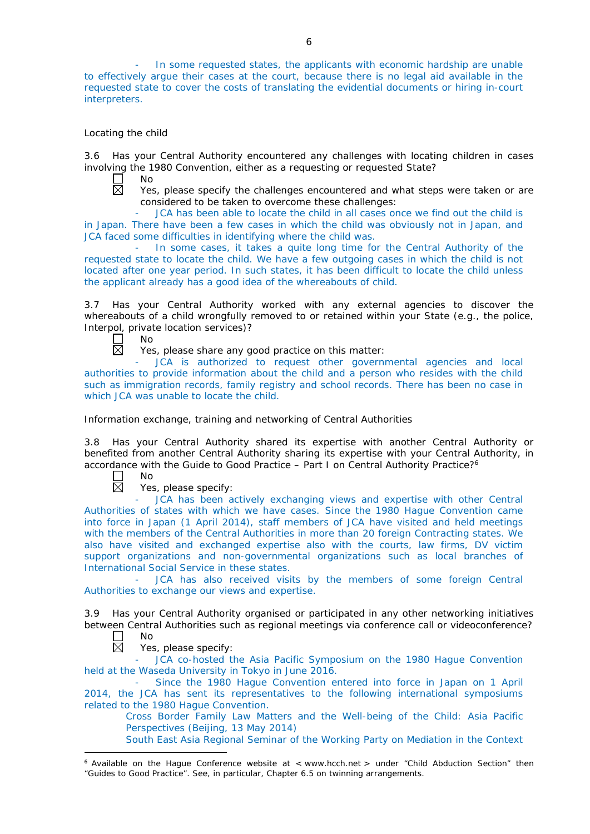In some requested states, the applicants with economic hardship are unable to effectively argue their cases at the court, because there is no legal aid available in the requested state to cover the costs of translating the evidential documents or hiring in-court interpreters.

## *Locating the child*

3.6 Has your Central Authority encountered any challenges with locating children in cases involving the 1980 Convention, either as a requesting or requested State?

No

Yes, please specify the challenges encountered and what steps were taken or are considered to be taken to overcome these challenges:

JCA has been able to locate the child in all cases once we find out the child is in Japan. There have been a few cases in which the child was obviously not in Japan, and JCA faced some difficulties in identifying where the child was.

In some cases, it takes a quite long time for the Central Authority of the requested state to locate the child. We have a few outgoing cases in which the child is not located after one year period. In such states, it has been difficult to locate the child unless the applicant already has a good idea of the whereabouts of child.

3.7 Has your Central Authority worked with any external agencies to discover the whereabouts of a child wrongfully removed to or retained within your State (*e.g.*, the police, Interpol, private location services)?

П No 岗

Yes, please share any good practice on this matter:

JCA is authorized to request other governmental agencies and local authorities to provide information about the child and a person who resides with the child such as immigration records, family registry and school records. There has been no case in which JCA was unable to locate the child.

*Information exchange, training and networking of Central Authorities*

3.8 Has your Central Authority shared its expertise with another Central Authority or benefited from another Central Authority sharing its expertise with your Central Authority, in accordance with the Guide to Good Practice – Part I on Central Authority Practice?6

 $\Box$ No  $\boxtimes$ 

Yes, please specify:

JCA has been actively exchanging views and expertise with other Central Authorities of states with which we have cases. Since the 1980 Hague Convention came into force in Japan (1 April 2014), staff members of JCA have visited and held meetings with the members of the Central Authorities in more than 20 foreign Contracting states. We also have visited and exchanged expertise also with the courts, law firms, DV victim support organizations and non-governmental organizations such as local branches of International Social Service in these states.

JCA has also received visits by the members of some foreign Central Authorities to exchange our views and expertise.

3.9 Has your Central Authority organised or participated in any other networking initiatives between Central Authorities such as regional meetings via conference call or videoconference?

 $\mathbf{L}$ No 反

Yes, please specify:

JCA co-hosted the Asia Pacific Symposium on the 1980 Hague Convention held at the Waseda University in Tokyo in June 2016.

Since the 1980 Hague Convention entered into force in Japan on 1 April 2014, the JCA has sent its representatives to the following international symposiums related to the 1980 Hague Convention.

Cross Border Family Law Matters and the Well-being of the Child: Asia Pacific Perspectives (Beijing, 13 May 2014)

South East Asia Regional Seminar of the Working Party on Mediation in the Context

<sup>-</sup> $6$  Available on the Hague Conference website at < www.hcch.net > under "Child Abduction Section" then "Guides to Good Practice". See, in particular, Chapter 6.5 on twinning arrangements.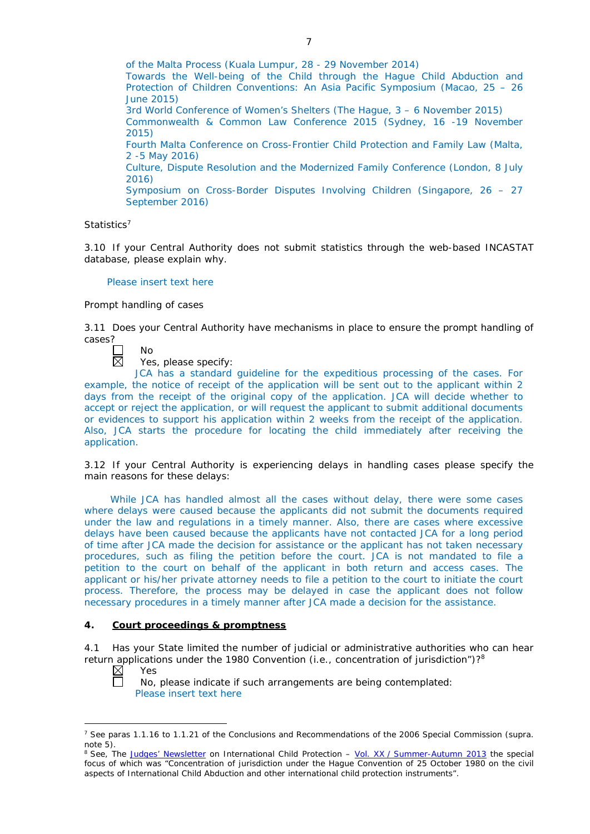of the Malta Process (Kuala Lumpur, 28 - 29 November 2014) Towards the Well-being of the Child through the Hague Child Abduction and Protection of Children Conventions: An Asia Pacific Symposium (Macao, 25 – 26 June 2015) 3rd World Conference of Women's Shelters (The Hague, 3 – 6 November 2015) Commonwealth & Common Law Conference 2015 (Sydney, 16 -19 November 2015) Fourth Malta Conference on Cross-Frontier Child Protection and Family Law (Malta, 2 -5 May 2016) Culture, Dispute Resolution and the Modernized Family Conference (London, 8 July 2016) Symposium on Cross-Border Disputes Involving Children (Singapore, 26 – 27 September 2016)

## *Statistics*<sup>7</sup>

3.10 If your Central Authority does not submit statistics through the web-based INCASTAT database, please explain why.

## Please insert text here

#### *Prompt handling of cases*

3.11 Does your Central Authority have mechanisms in place to ensure the prompt handling of cases?

No  $\boxtimes$ 

Yes, please specify:

JCA has a standard guideline for the expeditious processing of the cases. For example, the notice of receipt of the application will be sent out to the applicant within 2 days from the receipt of the original copy of the application. JCA will decide whether to accept or reject the application, or will request the applicant to submit additional documents or evidences to support his application within 2 weeks from the receipt of the application. Also, JCA starts the procedure for locating the child immediately after receiving the application.

3.12 If your Central Authority is experiencing delays in handling cases please specify the main reasons for these delays:

While JCA has handled almost all the cases without delay, there were some cases where delays were caused because the applicants did not submit the documents required under the law and regulations in a timely manner. Also, there are cases where excessive delays have been caused because the applicants have not contacted JCA for a long period of time after JCA made the decision for assistance or the applicant has not taken necessary procedures, such as filing the petition before the court. JCA is not mandated to file a petition to the court on behalf of the applicant in both return and access cases. The applicant or his/her private attorney needs to file a petition to the court to initiate the court process. Therefore, the process may be delayed in case the applicant does not follow necessary procedures in a timely manner after JCA made a decision for the assistance.

## **4. Court proceedings & promptness**

4.1 Has your State limited the number of judicial or administrative authorities who can hear return applications under the 1980 Convention (*i.e.*, concentration of jurisdiction")?8 Yes

 $\boxtimes$ Ē

-

No, please indicate if such arrangements are being contemplated: Please insert text here

<sup>7</sup> See paras 1.1.16 to 1.1.21 of the Conclusions and Recommendations of the 2006 Special Commission (*supra.*  note 5).

<sup>8</sup> See, *The [Judges' Newsletter](https://www.hcch.net/en/instruments/conventions/publications2/judges-newsletter)* on International Child Protection – Vol. XX / [Summer-Autumn 2013](https://assets.hcch.net/upload/newsletter/nl2013tome20en.pdf) the special focus of which was "Concentration of jurisdiction under the *Hague Convention of 25 October 1980 on the civil aspects of International Child Abduction* and other international child protection instruments".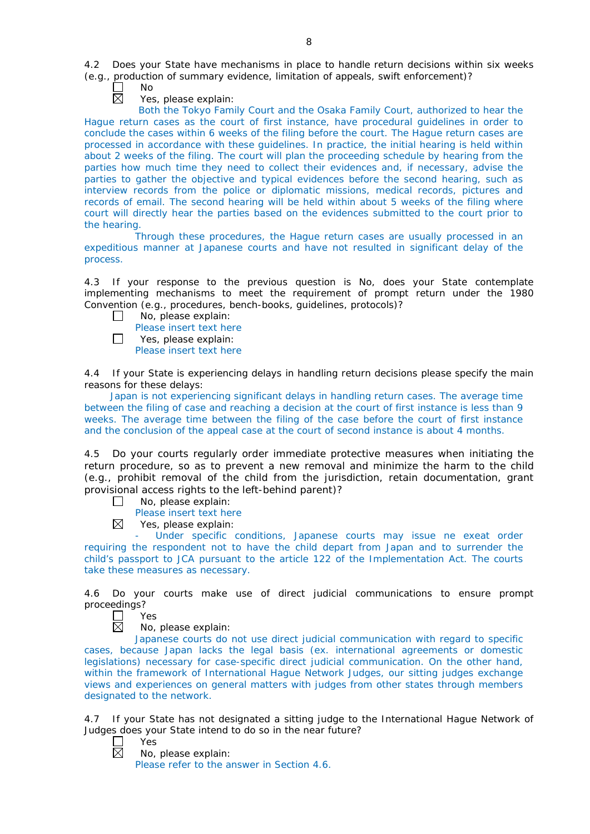4.2 Does your State have mechanisms in place to handle return decisions within six weeks (*e.g.*, production of summary evidence, limitation of appeals, swift enforcement)?

- No  $\overline{\boxtimes}$ 
	- Yes, please explain:

Both the Tokyo Family Court and the Osaka Family Court, authorized to hear the Hague return cases as the court of first instance, have procedural guidelines in order to conclude the cases within 6 weeks of the filing before the court. The Hague return cases are processed in accordance with these guidelines. In practice, the initial hearing is held within about 2 weeks of the filing. The court will plan the proceeding schedule by hearing from the parties how much time they need to collect their evidences and, if necessary, advise the parties to gather the objective and typical evidences before the second hearing, such as interview records from the police or diplomatic missions, medical records, pictures and records of email. The second hearing will be held within about 5 weeks of the filing where court will directly hear the parties based on the evidences submitted to the court prior to the hearing.

Through these procedures, the Hague return cases are usually processed in an expeditious manner at Japanese courts and have not resulted in significant delay of the process.

4.3 If your response to the previous question is No, does your State contemplate implementing mechanisms to meet the requirement of prompt return under the 1980 Convention (*e.g.*, procedures, bench-books, guidelines, protocols)?

- $\mathbb{R}^n$ No, please explain:
	- Please insert text here
- П Yes, please explain: Please insert text here

4.4 If your State is experiencing delays in handling return decisions please specify the main reasons for these delays:

Japan is not experiencing significant delays in handling return cases. The average time between the filing of case and reaching a decision at the court of first instance is less than 9 weeks. The average time between the filing of the case before the court of first instance and the conclusion of the appeal case at the court of second instance is about 4 months.

4.5 Do your courts regularly order immediate protective measures when initiating the return procedure, so as to prevent a new removal and minimize the harm to the child (*e.g.*, prohibit removal of the child from the jurisdiction, retain documentation, grant provisional access rights to the left-behind parent)?

- No, please explain:  $\Box$ 
	- Please insert text here
- $\boxtimes$ Yes, please explain:

Under specific conditions, Japanese courts may issue ne exeat order requiring the respondent not to have the child depart from Japan and to surrender the child's passport to JCA pursuant to the article 122 of the Implementation Act. The courts take these measures as necessary.

4.6 Do your courts make use of direct judicial communications to ensure prompt proceedings?

 $\Box$ Yes 反

No, please explain:

Japanese courts do not use direct judicial communication with regard to specific cases, because Japan lacks the legal basis (ex. international agreements or domestic legislations) necessary for case-specific direct judicial communication. On the other hand, within the framework of International Hague Network Judges, our sitting judges exchange views and experiences on general matters with judges from other states through members designated to the network.

4.7 If your State has not designated a sitting judge to the International Hague Network of Judges does your State intend to do so in the near future?

 $\Box$ Yes  $\boxtimes$ 

No, please explain:

Please refer to the answer in Section 4.6.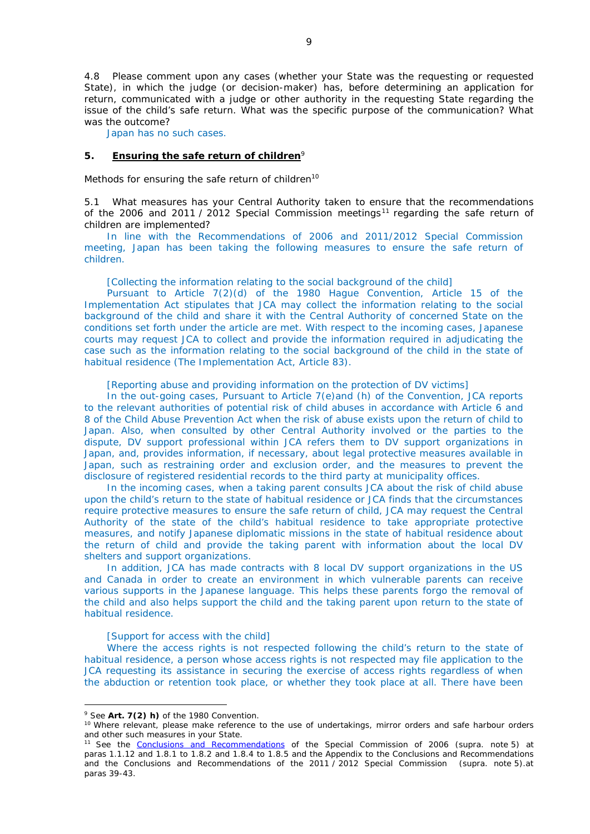4.8 Please comment upon any cases (whether your State was the requesting or requested State), in which the judge (or decision-maker) has, before determining an application for return, communicated with a judge or other authority in the requesting State regarding the issue of the child's safe return. What was the specific purpose of the communication? What was the outcome?

Japan has no such cases.

### **5. Ensuring the safe return of children**<sup>9</sup>

*Methods for ensuring the safe return of children*<sup>10</sup>

5.1 What measures has your Central Authority taken to ensure that the recommendations of the 2006 and 2011 / 2012 Special Commission meetings<sup>11</sup> regarding the safe return of children are implemented?

In line with the Recommendations of 2006 and 2011/2012 Special Commission meeting, Japan has been taking the following measures to ensure the safe return of children.

[Collecting the information relating to the social background of the child]

Pursuant to Article 7(2)(d) of the 1980 Hague Convention, Article 15 of the Implementation Act stipulates that JCA may collect the information relating to the social background of the child and share it with the Central Authority of concerned State on the conditions set forth under the article are met. With respect to the incoming cases, Japanese courts may request JCA to collect and provide the information required in adjudicating the case such as the information relating to the social background of the child in the state of habitual residence (The Implementation Act, Article 83).

[Reporting abuse and providing information on the protection of DV victims]

In the out-going cases, Pursuant to Article 7(e)and (h) of the Convention, JCA reports to the relevant authorities of potential risk of child abuses in accordance with Article 6 and 8 of the Child Abuse Prevention Act when the risk of abuse exists upon the return of child to Japan. Also, when consulted by other Central Authority involved or the parties to the dispute, DV support professional within JCA refers them to DV support organizations in Japan, and, provides information, if necessary, about legal protective measures available in Japan, such as restraining order and exclusion order, and the measures to prevent the disclosure of registered residential records to the third party at municipality offices.

In the incoming cases, when a taking parent consults JCA about the risk of child abuse upon the child's return to the state of habitual residence or JCA finds that the circumstances require protective measures to ensure the safe return of child, JCA may request the Central Authority of the state of the child's habitual residence to take appropriate protective measures, and notify Japanese diplomatic missions in the state of habitual residence about the return of child and provide the taking parent with information about the local DV shelters and support organizations.

In addition, JCA has made contracts with 8 local DV support organizations in the US and Canada in order to create an environment in which vulnerable parents can receive various supports in the Japanese language. This helps these parents forgo the removal of the child and also helps support the child and the taking parent upon return to the state of habitual residence.

### [Support for access with the child]

Where the access rights is not respected following the child's return to the state of habitual residence, a person whose access rights is not respected may file application to the JCA requesting its assistance in securing the exercise of access rights regardless of when the abduction or retention took place, or whether they took place at all. There have been

<u>.</u>

<sup>9</sup> See **Art. 7(2)** *h)* of the 1980 Convention.

<sup>&</sup>lt;sup>10</sup> Where relevant, please make reference to the use of undertakings, mirror orders and safe harbour orders and other such measures in your State.

<sup>11</sup> See the [Conclusions and Recommendations](https://assets.hcch.net/upload/concl28sc5_e.pdf) of the Special Commission of 2006 (*supra.* note 5) at paras 1.1.12 and 1.8.1 to 1.8.2 and 1.8.4 to 1.8.5 and the Appendix to the Conclusions and Recommendations and the [Conclusions and Recommendations of the 2011](https://assets.hcch.net/upload/wop/concl28sc6_e.pdf) / 2012 Special Commission (*supra.* note 5).at paras 39-43.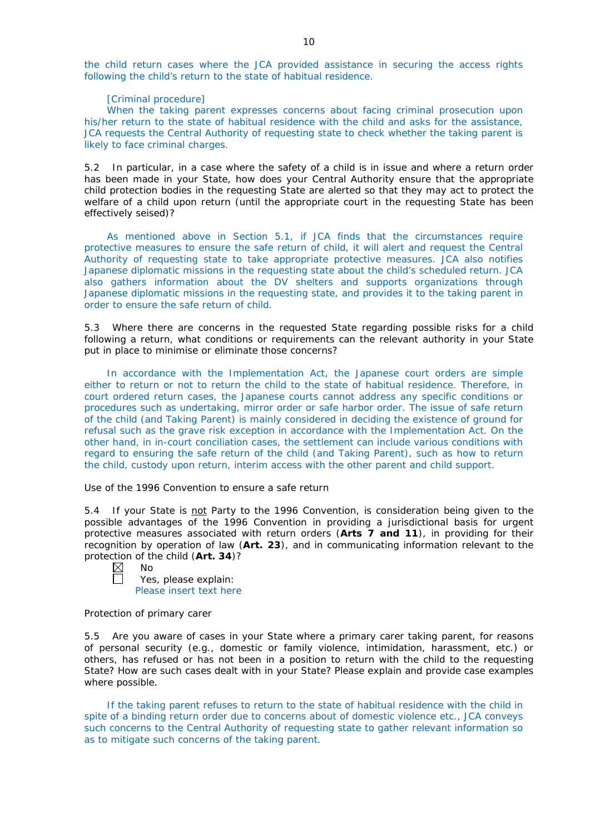the child return cases where the JCA provided assistance in securing the access rights following the child's return to the state of habitual residence.

#### [Criminal procedure]

When the taking parent expresses concerns about facing criminal prosecution upon his/her return to the state of habitual residence with the child and asks for the assistance, JCA requests the Central Authority of requesting state to check whether the taking parent is likely to face criminal charges.

5.2 In particular, in a case where the safety of a child is in issue and where a return order has been made in your State, how does your Central Authority ensure that the appropriate child protection bodies in the *requesting* State are alerted so that they may act to protect the welfare of a child upon return (until the appropriate court in the requesting State has been effectively seised)?

As mentioned above in Section 5.1, if JCA finds that the circumstances require protective measures to ensure the safe return of child, it will alert and request the Central Authority of requesting state to take appropriate protective measures. JCA also notifies Japanese diplomatic missions in the requesting state about the child's scheduled return. JCA also gathers information about the DV shelters and supports organizations through Japanese diplomatic missions in the requesting state, and provides it to the taking parent in order to ensure the safe return of child.

5.3 Where there are concerns in the requested State regarding possible risks for a child following a return, what conditions or requirements can the relevant authority in your State put in place to minimise or eliminate those concerns?

In accordance with the Implementation Act, the Japanese court orders are simple either to return or not to return the child to the state of habitual residence. Therefore, in court ordered return cases, the Japanese courts cannot address any specific conditions or procedures such as undertaking, mirror order or safe harbor order. The issue of safe return of the child (and Taking Parent) is mainly considered in deciding the existence of ground for refusal such as the grave risk exception in accordance with the Implementation Act. On the other hand, in in-court conciliation cases, the settlement can include various conditions with regard to ensuring the safe return of the child (and Taking Parent), such as how to return the child, custody upon return, interim access with the other parent and child support.

*Use of the 1996 Convention to ensure a safe return*

5.4 If your State is not Party to the 1996 Convention, is consideration being given to the possible advantages of the 1996 Convention in providing a jurisdictional basis for urgent protective measures associated with return orders (**Arts 7 and 11**), in providing for their recognition by operation of law (**Art. 23**), and in communicating information relevant to the protection of the child (**Art. 34**)?

 $\boxtimes$ No

 $\Box$ Yes, please explain:

Please insert text here

### *Protection of primary carer*

5.5 Are you aware of cases in your State where a primary carer taking parent, for reasons of personal security (*e.g.*, domestic or family violence, intimidation, harassment, etc.) or others, has refused or has not been in a position to return with the child to the requesting State? How are such cases dealt with in your State? Please explain and provide case examples where possible.

If the taking parent refuses to return to the state of habitual residence with the child in spite of a binding return order due to concerns about of domestic violence etc., JCA conveys such concerns to the Central Authority of requesting state to gather relevant information so as to mitigate such concerns of the taking parent.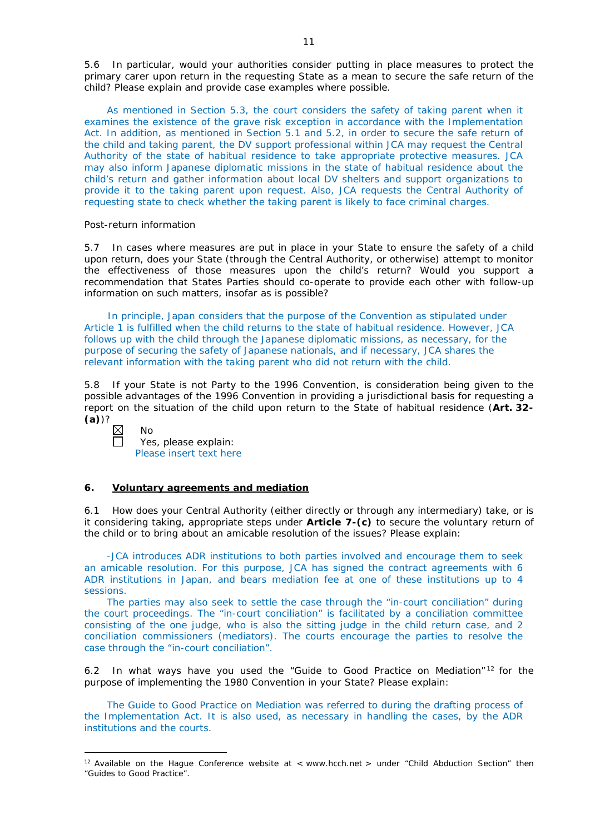5.6 In particular, would your authorities consider putting in place measures to protect the primary carer upon return in the requesting State as a mean to secure the safe return of the child? Please explain and provide case examples where possible.

As mentioned in Section 5.3, the court considers the safety of taking parent when it examines the existence of the grave risk exception in accordance with the Implementation Act. In addition, as mentioned in Section 5.1 and 5.2, in order to secure the safe return of the child and taking parent, the DV support professional within JCA may request the Central Authority of the state of habitual residence to take appropriate protective measures. JCA may also inform Japanese diplomatic missions in the state of habitual residence about the child's return and gather information about local DV shelters and support organizations to provide it to the taking parent upon request. Also, JCA requests the Central Authority of requesting state to check whether the taking parent is likely to face criminal charges.

### *Post-return information*

5.7 In cases where measures are put in place in your State to ensure the safety of a child upon return, does your State (through the Central Authority, or otherwise) attempt to monitor the effectiveness of those measures upon the child's return? Would you support a recommendation that States Parties should co-operate to provide each other with follow-up information on such matters, insofar as is possible?

In principle, Japan considers that the purpose of the Convention as stipulated under Article 1 is fulfilled when the child returns to the state of habitual residence. However, JCA follows up with the child through the Japanese diplomatic missions, as necessary, for the purpose of securing the safety of Japanese nationals, and if necessary, JCA shares the relevant information with the taking parent who did not return with the child.

5.8 If your State is not Party to the 1996 Convention, is consideration being given to the possible advantages of the 1996 Convention in providing a jurisdictional basis for requesting a report on the situation of the child upon return to the State of habitual residence (**Art. 32- (a)**)?

 $\boxtimes$ 

-

No

Yes, please explain: Please insert text here

## **6. Voluntary agreements and mediation**

6.1 How does your Central Authority (either directly or through any intermediary) take, or is it considering taking, appropriate steps under **Article 7-(c)** to secure the voluntary return of the child or to bring about an amicable resolution of the issues? Please explain:

-JCA introduces ADR institutions to both parties involved and encourage them to seek an amicable resolution. For this purpose, JCA has signed the contract agreements with 6 ADR institutions in Japan, and bears mediation fee at one of these institutions up to 4 sessions.

The parties may also seek to settle the case through the "in-court conciliation" during the court proceedings. The "in-court conciliation" is facilitated by a conciliation committee consisting of the one judge, who is also the sitting judge in the child return case, and 2 conciliation commissioners (mediators). The courts encourage the parties to resolve the case through the "in-court conciliation".

6.2 In what ways have you used the "Guide to Good Practice on Mediation" <sup>12</sup> for the purpose of implementing the 1980 Convention in your State? Please explain:

The Guide to Good Practice on Mediation was referred to during the drafting process of the Implementation Act. It is also used, as necessary in handling the cases, by the ADR institutions and the courts.

<sup>&</sup>lt;sup>12</sup> Available on the Hague Conference website at < www.hcch.net > under "Child Abduction Section" then "Guides to Good Practice".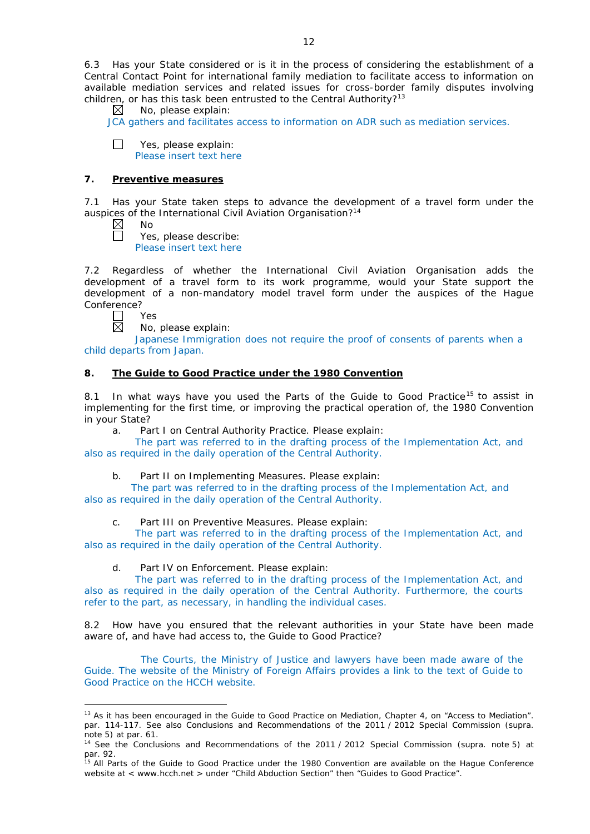6.3 Has your State considered or is it in the process of considering the establishment of a Central Contact Point for international family mediation to facilitate access to information on available mediation services and related issues for cross-border family disputes involving children, or has this task been entrusted to the Central Authority?<sup>13</sup>  $\boxtimes$  No. please explain:

No, please explain:

JCA gathers and facilitates access to information on ADR such as mediation services.

 $\Box$ Yes, please explain: Please insert text here

# **7. Preventive measures**

7.1 Has your State taken steps to advance the development of a travel form under the auspices of the International Civil Aviation Organisation?<sup>14</sup>

 $\boxtimes$ No

П

Yes, please describe:

Please insert text here

7.2 Regardless of whether the International Civil Aviation Organisation adds the development of a travel form to its work programme, would your State support the development of a non-mandatory model travel form under the auspices of the Hague Conference?

Yes 岗

<u>.</u>

No, please explain:

Japanese Immigration does not require the proof of consents of parents when a child departs from Japan.

# **8. The Guide to Good Practice under the 1980 Convention**

8.1 In what ways have you used the Parts of the Guide to Good Practice<sup>15</sup> to assist in implementing for the first time, or improving the practical operation of, the 1980 Convention in your State?

a. Part I on Central Authority Practice. Please explain:

The part was referred to in the drafting process of the Implementation Act, and also as required in the daily operation of the Central Authority.

# b. Part II on Implementing Measures. Please explain:

The part was referred to in the drafting process of the Implementation Act, and also as required in the daily operation of the Central Authority.

c. Part III on Preventive Measures. Please explain:

The part was referred to in the drafting process of the Implementation Act, and also as required in the daily operation of the Central Authority.

## d. Part IV on Enforcement. Please explain:

The part was referred to in the drafting process of the Implementation Act, and also as required in the daily operation of the Central Authority. Furthermore, the courts refer to the part, as necessary, in handling the individual cases.

8.2 How have you ensured that the relevant authorities in your State have been made aware of, and have had access to, the Guide to Good Practice?

The Courts, the Ministry of Justice and lawyers have been made aware of the Guide. The website of the Ministry of Foreign Affairs provides a link to the text of Guide to Good Practice on the HCCH website.

<sup>&</sup>lt;sup>13</sup> As it has been encouraged in the Guide to Good Practice on Mediation, Chapter 4, on "Access to Mediation". par. 114-117. See also [Conclusions and Recommendations of the 2011](https://assets.hcch.net/upload/wop/concl28sc6_e.pdf) / 2012 Special Commission (*supra.* .<br>note 5) at par. 61.

<sup>14</sup> See the [Conclusions and Recommendations of the 2011](https://assets.hcch.net/upload/wop/concl28sc6_e.pdf) / 2012 Special Commission (*supra.* note 5) at par. 92.

<sup>&</sup>lt;sup>15</sup> All Parts of the Guide to Good Practice under the 1980 Convention are available on the Hague Conference website at < www.hcch.net > under "Child Abduction Section" then "Guides to Good Practice".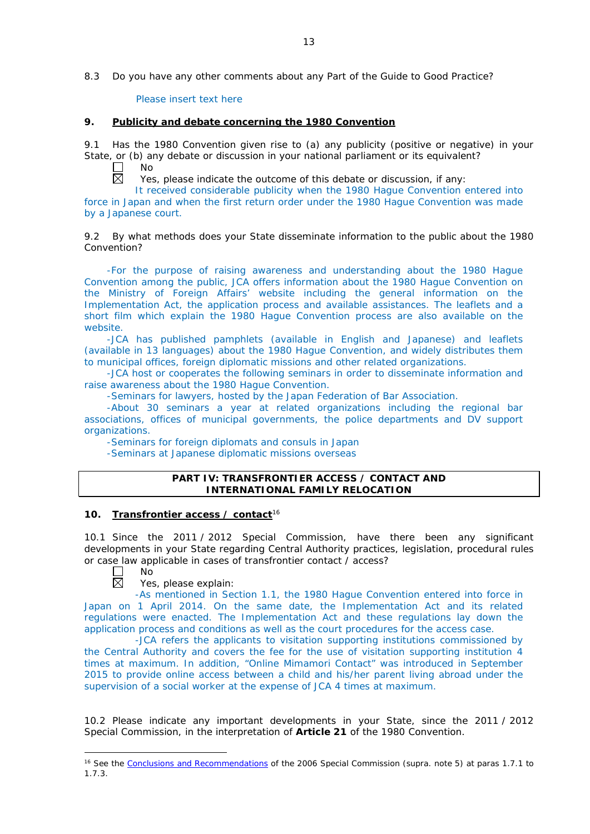8.3 Do you have any other comments about any Part of the Guide to Good Practice?

Please insert text here

## **9. Publicity and debate concerning the 1980 Convention**

9.1 Has the 1980 Convention given rise to (a) any publicity (positive or negative) in your State, or (b) any debate or discussion in your national parliament or its equivalent?

 $\Box$ No  $\overline{\boxtimes}$ 

Yes, please indicate the outcome of this debate or discussion, if any:

It received considerable publicity when the 1980 Hague Convention entered into force in Japan and when the first return order under the 1980 Hague Convention was made by a Japanese court.

## 9.2 By what methods does your State disseminate information to the public about the 1980 Convention?

-For the purpose of raising awareness and understanding about the 1980 Hague Convention among the public, JCA offers information about the 1980 Hague Convention on the Ministry of Foreign Affairs' website including the general information on the Implementation Act, the application process and available assistances. The leaflets and a short film which explain the 1980 Hague Convention process are also available on the website.

-JCA has published pamphlets (available in English and Japanese) and leaflets (available in 13 languages) about the 1980 Hague Convention, and widely distributes them to municipal offices, foreign diplomatic missions and other related organizations.

-JCA host or cooperates the following seminars in order to disseminate information and raise awareness about the 1980 Hague Convention.

-Seminars for lawyers, hosted by the Japan Federation of Bar Association.

-About 30 seminars a year at related organizations including the regional bar associations, offices of municipal governments, the police departments and DV support organizations.

-Seminars for foreign diplomats and consuls in Japan

-Seminars at Japanese diplomatic missions overseas

## **PART IV: TRANSFRONTIER ACCESS / CONTACT AND INTERNATIONAL FAMILY RELOCATION**

## **10. Transfrontier access / contact**<sup>16</sup>

10.1 Since the 2011 / 2012 Special Commission, have there been any significant developments in your State regarding Central Authority practices, legislation, procedural rules or case law applicable in cases of transfrontier contact / access?



-

Yes, please explain:

-As mentioned in Section 1.1, the 1980 Hague Convention entered into force in Japan on 1 April 2014. On the same date, the Implementation Act and its related regulations were enacted. The Implementation Act and these regulations lay down the application process and conditions as well as the court procedures for the access case.

-JCA refers the applicants to visitation supporting institutions commissioned by the Central Authority and covers the fee for the use of visitation supporting institution 4 times at maximum. In addition, "Online Mimamori Contact" was introduced in September 2015 to provide online access between a child and his/her parent living abroad under the supervision of a social worker at the expense of JCA 4 times at maximum.

10.2 Please indicate any important developments in your State, since the 2011 / 2012 Special Commission, in the interpretation of **Article 21** of the 1980 Convention.

<sup>16</sup> See the [Conclusions and Recommendations](https://assets.hcch.net/upload/concl28sc5_e.pdf) of the 2006 Special Commission (*supra.* note 5) at paras 1.7.1 to 1.7.3.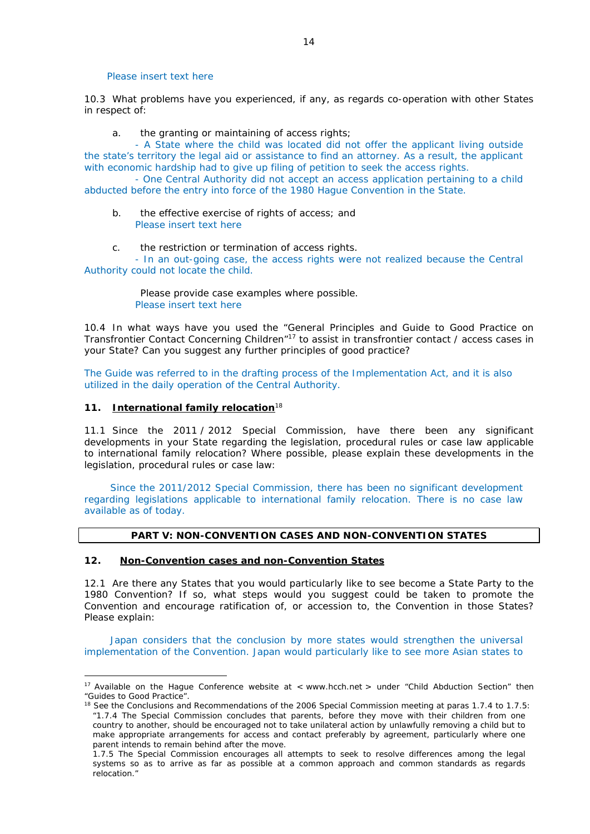Please insert text here

10.3 What problems have you experienced, if any, as regards co-operation with other States in respect of:

a. the granting or maintaining of access rights;

- A State where the child was located did not offer the applicant living outside the state's territory the legal aid or assistance to find an attorney. As a result, the applicant with economic hardship had to give up filing of petition to seek the access rights.

- One Central Authority did not accept an access application pertaining to a child abducted before the entry into force of the 1980 Hague Convention in the State.

- b. the effective exercise of rights of access; and Please insert text here
- c. the restriction or termination of access rights.

- In an out-going case, the access rights were not realized because the Central Authority could not locate the child.

> Please provide case examples where possible. Please insert text here

10.4 In what ways have you used the "General Principles and Guide to Good Practice on Transfrontier Contact Concerning Children<sup>"17</sup> to assist in transfrontier contact / access cases in your State? Can you suggest any further principles of good practice?

The Guide was referred to in the drafting process of the Implementation Act, and it is also utilized in the daily operation of the Central Authority.

# **11. International family relocation**<sup>18</sup>

<u>.</u>

11.1 Since the 2011 / 2012 Special Commission, have there been any significant developments in your State regarding the legislation, procedural rules or case law applicable to international family relocation? Where possible, please explain these developments in the legislation, procedural rules or case law:

Since the 2011/2012 Special Commission, there has been no significant development regarding legislations applicable to international family relocation. There is no case law available as of today.

# **PART V: NON-CONVENTION CASES AND NON-CONVENTION STATES**

# **12. Non-Convention cases and non-Convention States**

12.1 Are there any States that you would particularly like to see become a State Party to the 1980 Convention? If so, what steps would you suggest could be taken to promote the Convention and encourage ratification of, or accession to, the Convention in those States? Please explain:

Japan considers that the conclusion by more states would strengthen the universal implementation of the Convention. Japan would particularly like to see more Asian states to

<sup>&</sup>lt;sup>17</sup> Available on the Hague Conference website at < www.hcch.net > under "Child Abduction Section" then "Guides to Good Practice".

<sup>&</sup>lt;sup>18</sup> See the Conclusions and Recommendations of the 2006 Special Commission meeting at paras 1.7.4 to 1.7.5: *"*1.7.4 The Special Commission concludes that parents, before they move with their children from one country to another, should be encouraged not to take unilateral action by unlawfully removing a child but to make appropriate arrangements for access and contact preferably by agreement, particularly where one parent intends to remain behind after the move.

<sup>1.7.5</sup> The Special Commission encourages all attempts to seek to resolve differences among the legal systems so as to arrive as far as possible at a common approach and common standards as regards relocation."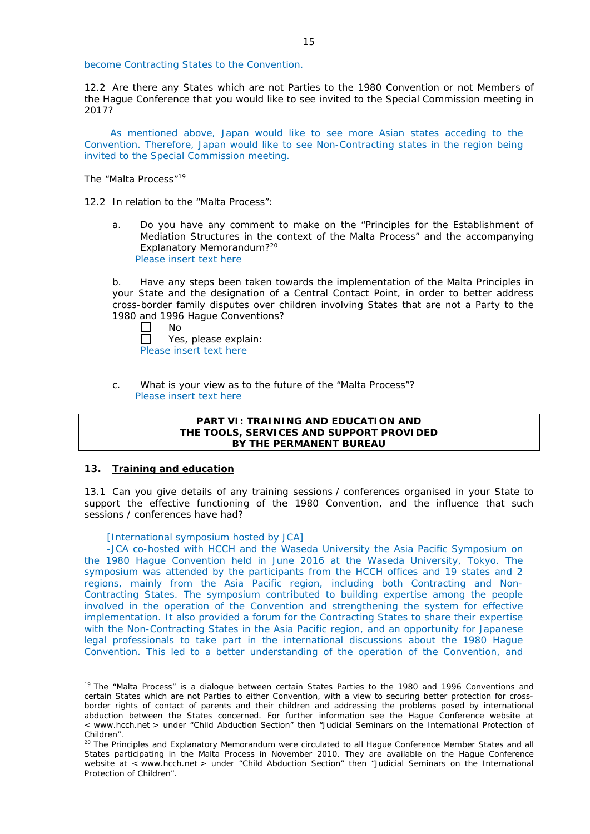become Contracting States to the Convention.

12.2 Are there any States which are not Parties to the 1980 Convention or not Members of the Hague Conference that you would like to see invited to the Special Commission meeting in 2017?

As mentioned above, Japan would like to see more Asian states acceding to the Convention. Therefore, Japan would like to see Non-Contracting states in the region being invited to the Special Commission meeting.

*The "Malta Process"*<sup>19</sup>

12.2 In relation to the "Malta Process":

a. Do you have any comment to make on the "Principles for the Establishment of Mediation Structures in the context of the Malta Process" and the accompanying Explanatory Memorandum?20 Please insert text here

b. Have any steps been taken towards the implementation of the Malta Principles in your State and the designation of a Central Contact Point, in order to better address cross-border family disputes over children involving States that are not a Party to the 1980 and 1996 Hague Conventions?

| Nο      |
|---------|
| ۵۹<br>Y |

Yes, please explain: Please insert text here

c. What is your view as to the future of the "Malta Process"? Please insert text here

## **PART VI: TRAINING AND EDUCATION AND THE TOOLS, SERVICES AND SUPPORT PROVIDED BY THE PERMANENT BUREAU**

### **13. Training and education**

<u>.</u>

13.1 Can you give details of any training sessions / conferences organised in your State to support the effective functioning of the 1980 Convention, and the influence that such sessions / conferences have had?

[International symposium hosted by JCA]

-JCA co-hosted with HCCH and the Waseda University the Asia Pacific Symposium on the 1980 Hague Convention held in June 2016 at the Waseda University, Tokyo. The symposium was attended by the participants from the HCCH offices and 19 states and 2 regions, mainly from the Asia Pacific region, including both Contracting and Non-Contracting States. The symposium contributed to building expertise among the people involved in the operation of the Convention and strengthening the system for effective implementation. It also provided a forum for the Contracting States to share their expertise with the Non-Contracting States in the Asia Pacific region, and an opportunity for Japanese legal professionals to take part in the international discussions about the 1980 Hague Convention. This led to a better understanding of the operation of the Convention, and

<sup>&</sup>lt;sup>19</sup> The "Malta Process" is a dialogue between certain States Parties to the 1980 and 1996 Conventions and certain States which are not Parties to either Convention, with a view to securing better protection for crossborder rights of contact of parents and their children and addressing the problems posed by international abduction between the States concerned. For further information see the Hague Conference website at < www.hcch.net > under "Child Abduction Section" then "Judicial Seminars on the International Protection of Children".

<sup>20</sup> The Principles and Explanatory Memorandum were circulated to all Hague Conference Member States and all States participating in the Malta Process in November 2010. They are available on the Hague Conference website at < www.hcch.net > under "Child Abduction Section" then "Judicial Seminars on the International Protection of Children".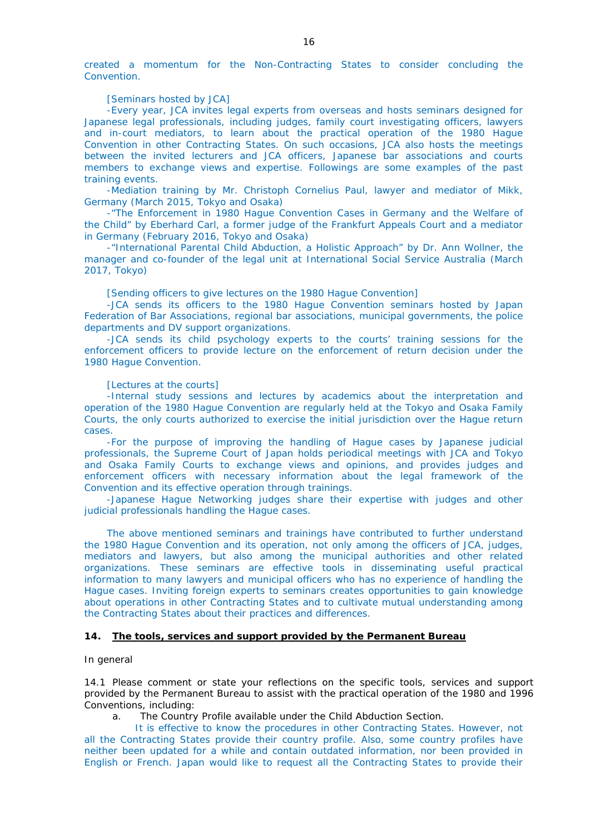created a momentum for the Non-Contracting States to consider concluding the Convention.

#### [Seminars hosted by JCA]

-Every year, JCA invites legal experts from overseas and hosts seminars designed for Japanese legal professionals, including judges, family court investigating officers, lawyers and in-court mediators, to learn about the practical operation of the 1980 Hague Convention in other Contracting States. On such occasions, JCA also hosts the meetings between the invited lecturers and JCA officers, Japanese bar associations and courts members to exchange views and expertise. Followings are some examples of the past training events.

-Mediation training by Mr. Christoph Cornelius Paul, lawyer and mediator of Mikk, Germany (March 2015, Tokyo and Osaka)

-"The Enforcement in 1980 Hague Convention Cases in Germany and the Welfare of the Child" by Eberhard Carl, a former judge of the Frankfurt Appeals Court and a mediator in Germany (February 2016, Tokyo and Osaka)

-"International Parental Child Abduction, a Holistic Approach" by Dr. Ann Wollner, the manager and co-founder of the legal unit at International Social Service Australia (March 2017, Tokyo)

[Sending officers to give lectures on the 1980 Hague Convention]

-JCA sends its officers to the 1980 Hague Convention seminars hosted by Japan Federation of Bar Associations, regional bar associations, municipal governments, the police departments and DV support organizations.

-JCA sends its child psychology experts to the courts' training sessions for the enforcement officers to provide lecture on the enforcement of return decision under the 1980 Hague Convention.

### [Lectures at the courts]

-Internal study sessions and lectures by academics about the interpretation and operation of the 1980 Hague Convention are regularly held at the Tokyo and Osaka Family Courts, the only courts authorized to exercise the initial jurisdiction over the Hague return cases.

-For the purpose of improving the handling of Hague cases by Japanese judicial professionals, the Supreme Court of Japan holds periodical meetings with JCA and Tokyo and Osaka Family Courts to exchange views and opinions, and provides judges and enforcement officers with necessary information about the legal framework of the Convention and its effective operation through trainings.

-Japanese Hague Networking judges share their expertise with judges and other judicial professionals handling the Hague cases.

The above mentioned seminars and trainings have contributed to further understand the 1980 Hague Convention and its operation, not only among the officers of JCA, judges, mediators and lawyers, but also among the municipal authorities and other related organizations. These seminars are effective tools in disseminating useful practical information to many lawyers and municipal officers who has no experience of handling the Hague cases. Inviting foreign experts to seminars creates opportunities to gain knowledge about operations in other Contracting States and to cultivate mutual understanding among the Contracting States about their practices and differences.

## **14. The tools, services and support provided by the Permanent Bureau**

#### *In general*

14.1 Please comment or state your reflections on the specific tools, services and support provided by the Permanent Bureau to assist with the practical operation of the 1980 and 1996 Conventions, including:

a. The Country Profile available under the Child Abduction Section.

It is effective to know the procedures in other Contracting States. However, not all the Contracting States provide their country profile. Also, some country profiles have neither been updated for a while and contain outdated information, nor been provided in English or French. Japan would like to request all the Contracting States to provide their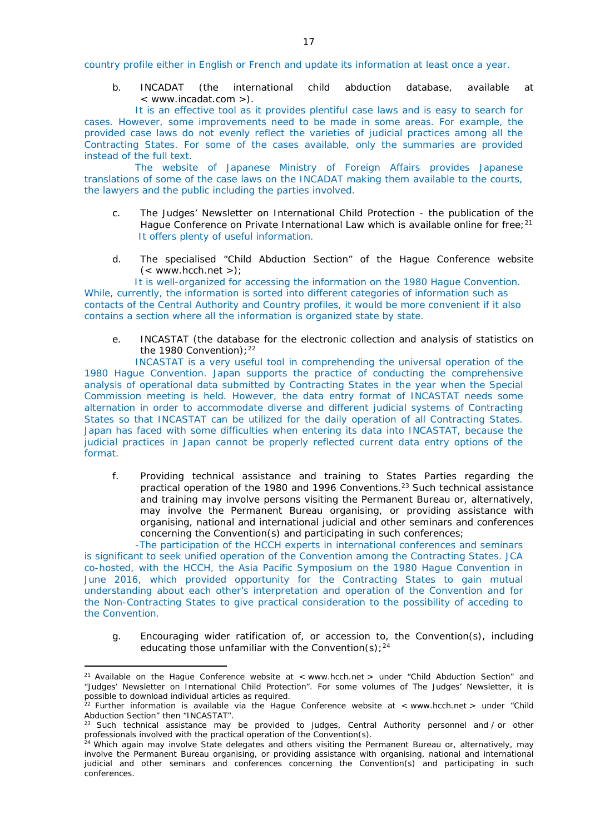country profile either in English or French and update its information at least once a year.

b. INCADAT (the international child abduction database, available at < www.incadat.com >).

It is an effective tool as it provides plentiful case laws and is easy to search for cases. However, some improvements need to be made in some areas. For example, the provided case laws do not evenly reflect the varieties of judicial practices among all the Contracting States. For some of the cases available, only the summaries are provided instead of the full text.

The website of Japanese Ministry of Foreign Affairs provides Japanese translations of some of the case laws on the INCADAT making them available to the courts, the lawyers and the public including the parties involved.

- c. *The Judges' Newsletter* on International Child Protection the publication of the Hague Conference on Private International Law which is available online for free;<sup>21</sup> It offers plenty of useful information.
- d. The specialised "Child Abduction Section" of the Hague Conference website  $(<$  www.hcch.net >);

It is well-organized for accessing the information on the 1980 Hague Convention. While, currently, the information is sorted into different categories of information such as contacts of the Central Authority and Country profiles, it would be more convenient if it also contains a section where all the information is organized state by state.

e. INCASTAT (the database for the electronic collection and analysis of statistics on the 1980 Convention);  $22$ 

INCASTAT is a very useful tool in comprehending the universal operation of the 1980 Hague Convention. Japan supports the practice of conducting the comprehensive analysis of operational data submitted by Contracting States in the year when the Special Commission meeting is held. However, the data entry format of INCASTAT needs some alternation in order to accommodate diverse and different judicial systems of Contracting States so that INCASTAT can be utilized for the daily operation of all Contracting States. Japan has faced with some difficulties when entering its data into INCASTAT, because the judicial practices in Japan cannot be properly reflected current data entry options of the format.

f. Providing technical assistance and training to States Parties regarding the practical operation of the 1980 and 1996 Conventions.23 Such technical assistance and training may involve persons visiting the Permanent Bureau or, alternatively, may involve the Permanent Bureau organising, or providing assistance with organising, national and international judicial and other seminars and conferences concerning the Convention(s) and participating in such conferences;

-The participation of the HCCH experts in international conferences and seminars is significant to seek unified operation of the Convention among the Contracting States. JCA co-hosted, with the HCCH, the Asia Pacific Symposium on the 1980 Hague Convention in June 2016, which provided opportunity for the Contracting States to gain mutual understanding about each other's interpretation and operation of the Convention and for the Non-Contracting States to give practical consideration to the possibility of acceding to the Convention.

g. Encouraging wider ratification of, or accession to, the Convention(s), including educating those unfamiliar with the Convention(s);  $24$ 

<u>.</u>

<sup>&</sup>lt;sup>21</sup> Available on the Hague Conference website at < www.hcch.net > under "Child Abduction Section" and "Judges' Newsletter on International Child Protection". For some volumes of *The Judges' Newsletter*, it is possible to download individual articles as required.

<sup>&</sup>lt;sup>22</sup> Further information is available via the Hague Conference website at < www.hcch.net > under "Child Abduction Section" then "INCASTAT".

<sup>&</sup>lt;sup>23</sup> Such technical assistance may be provided to judges, Central Authority personnel and / or other professionals involved with the practical operation of the Convention(s).

<sup>&</sup>lt;sup>24</sup> Which again may involve State delegates and others visiting the Permanent Bureau or, alternatively, may involve the Permanent Bureau organising, or providing assistance with organising, national and international judicial and other seminars and conferences concerning the Convention(s) and participating in such conferences.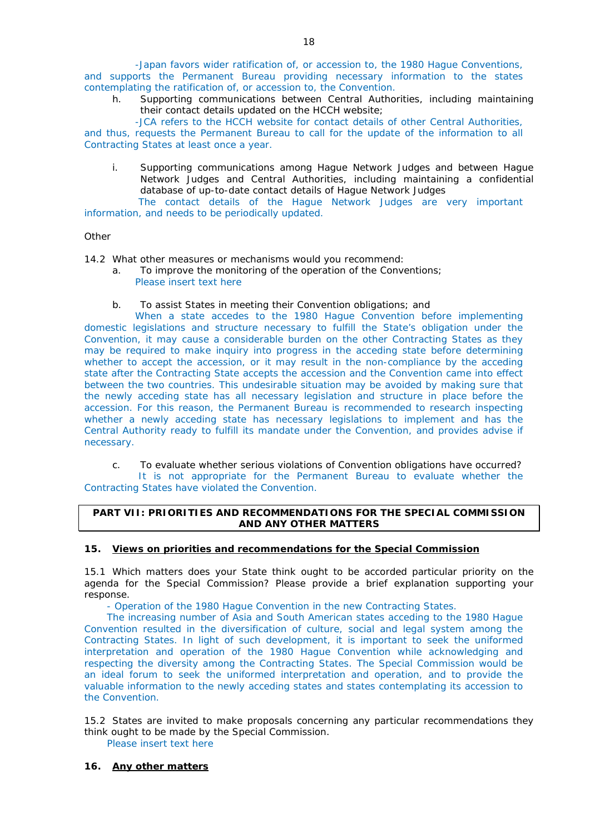-Japan favors wider ratification of, or accession to, the 1980 Hague Conventions, and supports the Permanent Bureau providing necessary information to the states contemplating the ratification of, or accession to, the Convention.

h. Supporting communications between Central Authorities, including maintaining their contact details updated on the HCCH website;

-JCA refers to the HCCH website for contact details of other Central Authorities, and thus, requests the Permanent Bureau to call for the update of the information to all Contracting States at least once a year.

i. Supporting communications among Hague Network Judges and between Hague Network Judges and Central Authorities, including maintaining a confidential database of up-to-date contact details of Hague Network Judges

The contact details of the Hague Network Judges are very important information, and needs to be periodically updated.

## *Other*

14.2 What other measures or mechanisms would you recommend:

- a. To improve the monitoring of the operation of the Conventions; Please insert text here
- b. To assist States in meeting their Convention obligations; and

When a state accedes to the 1980 Hague Convention before implementing domestic legislations and structure necessary to fulfill the State's obligation under the Convention, it may cause a considerable burden on the other Contracting States as they may be required to make inquiry into progress in the acceding state before determining whether to accept the accession, or it may result in the non-compliance by the acceding state after the Contracting State accepts the accession and the Convention came into effect between the two countries. This undesirable situation may be avoided by making sure that the newly acceding state has all necessary legislation and structure in place before the accession. For this reason, the Permanent Bureau is recommended to research inspecting whether a newly acceding state has necessary legislations to implement and has the Central Authority ready to fulfill its mandate under the Convention, and provides advise if necessary.

c. To evaluate whether serious violations of Convention obligations have occurred? It is not appropriate for the Permanent Bureau to evaluate whether the Contracting States have violated the Convention.

## **PART VII: PRIORITIES AND RECOMMENDATIONS FOR THE SPECIAL COMMISSION AND ANY OTHER MATTERS**

# **15. Views on priorities and recommendations for the Special Commission**

15.1 Which matters does your State think ought to be accorded particular priority on the agenda for the Special Commission? Please provide a brief explanation supporting your response.

- Operation of the 1980 Hague Convention in the new Contracting States.

The increasing number of Asia and South American states acceding to the 1980 Hague Convention resulted in the diversification of culture, social and legal system among the Contracting States. In light of such development, it is important to seek the uniformed interpretation and operation of the 1980 Hague Convention while acknowledging and respecting the diversity among the Contracting States. The Special Commission would be an ideal forum to seek the uniformed interpretation and operation, and to provide the valuable information to the newly acceding states and states contemplating its accession to the Convention.

15.2 States are invited to make proposals concerning any particular recommendations they think ought to be made by the Special Commission.

Please insert text here

# **16. Any other matters**